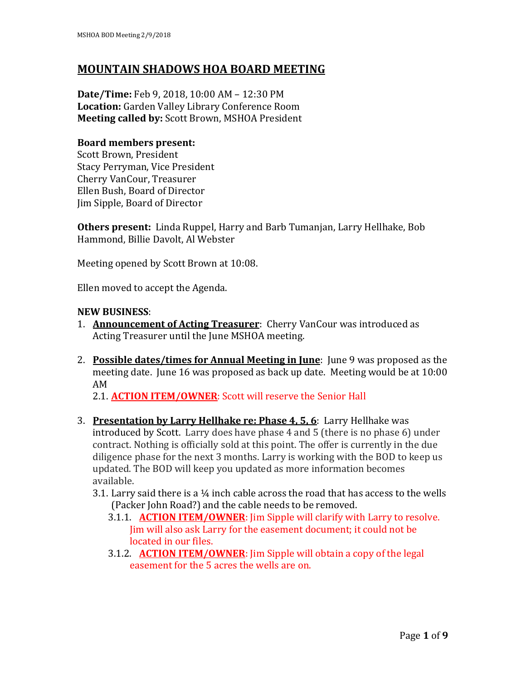# **MOUNTAIN SHADOWS HOA BOARD MEETING**

**Date/Time:** Feb 9, 2018, 10:00 AM – 12:30 PM **Location:** Garden Valley Library Conference Room **Meeting called by:** Scott Brown, MSHOA President

## **Board members present:**

Scott Brown, President Stacy Perryman, Vice President Cherry VanCour, Treasurer Ellen Bush, Board of Director Jim Sipple, Board of Director

**Others present:** Linda Ruppel, Harry and Barb Tumanjan, Larry Hellhake, Bob Hammond, Billie Davolt, Al Webster

Meeting opened by Scott Brown at 10:08.

Ellen moved to accept the Agenda.

## **NEW BUSINESS**:

- 1. **Announcement of Acting Treasurer**: Cherry VanCour was introduced as Acting Treasurer until the June MSHOA meeting.
- 2. **Possible dates/times for Annual Meeting in June**: June 9 was proposed as the meeting date. June 16 was proposed as back up date. Meeting would be at 10:00 AM

2.1. **ACTION ITEM/OWNER**: Scott will reserve the Senior Hall

- 3. **Presentation by Larry Hellhake re: Phase 4, 5, 6**: Larry Hellhake was introduced by Scott. Larry does have phase 4 and 5 (there is no phase 6) under contract. Nothing is officially sold at this point. The offer is currently in the due diligence phase for the next 3 months. Larry is working with the BOD to keep us updated. The BOD will keep you updated as more information becomes available.
	- 3.1. Larry said there is a  $\frac{1}{4}$  inch cable across the road that has access to the wells (Packer John Road?) and the cable needs to be removed.
		- 3.1.1. **ACTION ITEM/OWNER**: Jim Sipple will clarify with Larry to resolve. Jim will also ask Larry for the easement document; it could not be located in our files.
		- 3.1.2. **ACTION ITEM/OWNER**: Jim Sipple will obtain a copy of the legal easement for the 5 acres the wells are on.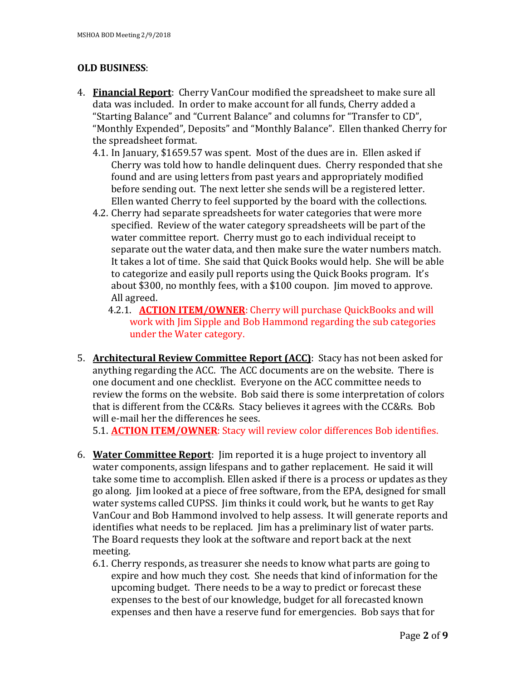## **OLD BUSINESS**:

- 4. **Financial Report**: Cherry VanCour modified the spreadsheet to make sure all data was included. In order to make account for all funds, Cherry added a "Starting Balance" and "Current Balance" and columns for "Transfer to CD", "Monthly Expended", Deposits" and "Monthly Balance". Ellen thanked Cherry for the spreadsheet format.
	- 4.1. In January, \$1659.57 was spent. Most of the dues are in. Ellen asked if Cherry was told how to handle delinquent dues. Cherry responded that she found and are using letters from past years and appropriately modified before sending out. The next letter she sends will be a registered letter. Ellen wanted Cherry to feel supported by the board with the collections.
	- 4.2. Cherry had separate spreadsheets for water categories that were more specified. Review of the water category spreadsheets will be part of the water committee report. Cherry must go to each individual receipt to separate out the water data, and then make sure the water numbers match. It takes a lot of time. She said that Quick Books would help. She will be able to categorize and easily pull reports using the Quick Books program. It's about \$300, no monthly fees, with a \$100 coupon. Jim moved to approve. All agreed.
		- 4.2.1. **ACTION ITEM/OWNER**: Cherry will purchase QuickBooks and will work with Jim Sipple and Bob Hammond regarding the sub categories under the Water category.
- 5. **Architectural Review Committee Report (ACC)**: Stacy has not been asked for anything regarding the ACC. The ACC documents are on the website. There is one document and one checklist. Everyone on the ACC committee needs to review the forms on the website. Bob said there is some interpretation of colors that is different from the CC&Rs. Stacy believes it agrees with the CC&Rs. Bob will e-mail her the differences he sees.

5.1. **ACTION ITEM/OWNER**: Stacy will review color differences Bob identifies.

- 6. **Water Committee Report**: Jim reported it is a huge project to inventory all water components, assign lifespans and to gather replacement. He said it will take some time to accomplish. Ellen asked if there is a process or updates as they go along. Jim looked at a piece of free software, from the EPA, designed for small water systems called CUPSS. Jim thinks it could work, but he wants to get Ray VanCour and Bob Hammond involved to help assess. It will generate reports and identifies what needs to be replaced. Jim has a preliminary list of water parts. The Board requests they look at the software and report back at the next meeting.
	- 6.1. Cherry responds, as treasurer she needs to know what parts are going to expire and how much they cost. She needs that kind of information for the upcoming budget. There needs to be a way to predict or forecast these expenses to the best of our knowledge, budget for all forecasted known expenses and then have a reserve fund for emergencies. Bob says that for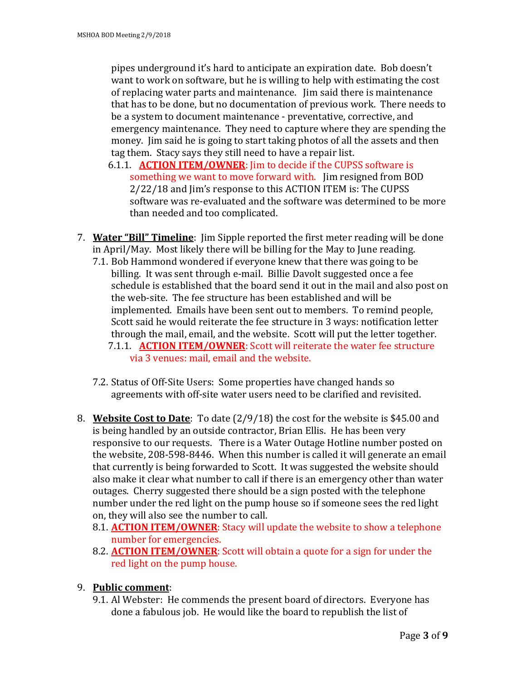pipes underground it's hard to anticipate an expiration date. Bob doesn't want to work on software, but he is willing to help with estimating the cost of replacing water parts and maintenance. Jim said there is maintenance that has to be done, but no documentation of previous work. There needs to be a system to document maintenance - preventative, corrective, and emergency maintenance. They need to capture where they are spending the money. Jim said he is going to start taking photos of all the assets and then tag them. Stacy says they still need to have a repair list.

- 6.1.1. **ACTION ITEM/OWNER**: Jim to decide if the CUPSS software is something we want to move forward with. Jim resigned from BOD 2/22/18 and Jim's response to this ACTION ITEM is: The CUPSS software was re-evaluated and the software was determined to be more than needed and too complicated.
- 7. **Water "Bill" Timeline**: Jim Sipple reported the first meter reading will be done in April/May. Most likely there will be billing for the May to June reading.
	- 7.1. Bob Hammond wondered if everyone knew that there was going to be billing. It was sent through e-mail. Billie Davolt suggested once a fee schedule is established that the board send it out in the mail and also post on the web-site. The fee structure has been established and will be implemented. Emails have been sent out to members. To remind people, Scott said he would reiterate the fee structure in 3 ways: notification letter through the mail, email, and the website. Scott will put the letter together. 7.1.1. **ACTION ITEM/OWNER**: Scott will reiterate the water fee structure
		- via 3 venues: mail, email and the website.
	- 7.2. Status of Off-Site Users: Some properties have changed hands so agreements with off-site water users need to be clarified and revisited.
- 8. **Website Cost to Date**: To date (2/9/18) the cost for the website is \$45.00 and is being handled by an outside contractor, Brian Ellis. He has been very responsive to our requests. There is a Water Outage Hotline number posted on the website, 208-598-8446. When this number is called it will generate an email that currently is being forwarded to Scott. It was suggested the website should also make it clear what number to call if there is an emergency other than water outages. Cherry suggested there should be a sign posted with the telephone number under the red light on the pump house so if someone sees the red light on, they will also see the number to call.
	- 8.1. **ACTION ITEM/OWNER**: Stacy will update the website to show a telephone number for emergencies.
	- 8.2. **ACTION ITEM/OWNER**: Scott will obtain a quote for a sign for under the red light on the pump house.
- 9. **Public comment**:
	- 9.1. Al Webster: He commends the present board of directors. Everyone has done a fabulous job. He would like the board to republish the list of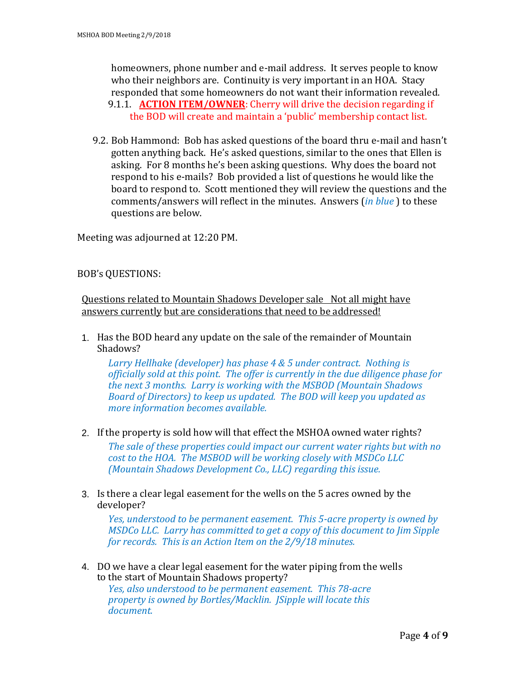homeowners, phone number and e-mail address. It serves people to know who their neighbors are. Continuity is very important in an HOA. Stacy responded that some homeowners do not want their information revealed. 9.1.1. **ACTION ITEM/OWNER**: Cherry will drive the decision regarding if the BOD will create and maintain a 'public' membership contact list.

9.2. Bob Hammond: Bob has asked questions of the board thru e-mail and hasn't gotten anything back. He's asked questions, similar to the ones that Ellen is asking. For 8 months he's been asking questions. Why does the board not respond to his e-mails? Bob provided a list of questions he would like the board to respond to. Scott mentioned they will review the questions and the comments/answers will reflect in the minutes. Answers (*in blue* ) to these questions are below.

Meeting was adjourned at 12:20 PM.

## BOB's QUESTIONS:

*document.*

Questions related to Mountain Shadows Developer sale Not all might have answers currently but are considerations that need to be addressed!

1. Has the BOD heard any update on the sale of the remainder of Mountain Shadows?

*Larry Hellhake (developer) has phase 4 & 5 under contract. Nothing is officially sold at this point. The offer is currently in the due diligence phase for the next 3 months. Larry is working with the MSBOD (Mountain Shadows Board of Directors) to keep us updated. The BOD will keep you updated as more information becomes available.* 

- 2. If the property is sold how will that effect the MSHOA owned water rights? *The sale of these properties could impact our current water rights but with no cost to the HOA. The MSBOD will be working closely with MSDCo LLC (Mountain Shadows Development Co., LLC) regarding this issue.*
- 3. Is there a clear legal easement for the wells on the 5 acres owned by the developer?

*Yes, understood to be permanent easement. This 5-acre property is owned by MSDCo LLC. Larry has committed to get a copy of this document to Jim Sipple for records. This is an Action Item on the 2/9/18 minutes.*

4. DO we have a clear legal easement for the water piping from the wells to the start of Mountain Shadows property? *Yes, also understood to be permanent easement. This 78-acre property is owned by Bortles/Macklin. JSipple will locate this*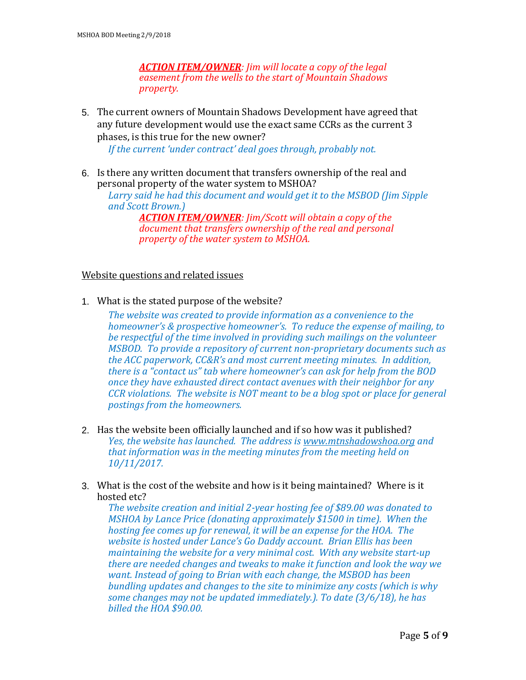*ACTION ITEM/OWNER: Jim will locate a copy of the legal easement from the wells to the start of Mountain Shadows property.*

5. The current owners of Mountain Shadows Development have agreed that any future development would use the exact same CCRs as the current 3 phases, is this true for the new owner?

*If the current 'under contract' deal goes through, probably not.* 

6. Is there any written document that transfers ownership of the real and personal property of the water system to MSHOA?

*Larry said he had this document and would get it to the MSBOD (Jim Sipple and Scott Brown.)*

*ACTION ITEM/OWNER: Jim/Scott will obtain a copy of the document that transfers ownership of the real and personal property of the water system to MSHOA.*

#### Website questions and related issues

1. What is the stated purpose of the website?

*The website was created to provide information as a convenience to the homeowner's & prospective homeowner's. To reduce the expense of mailing, to be respectful of the time involved in providing such mailings on the volunteer MSBOD. To provide a repository of current non-proprietary documents such as the ACC paperwork, CC&R's and most current meeting minutes. In addition, there is a "contact us" tab where homeowner's can ask for help from the BOD once they have exhausted direct contact avenues with their neighbor for any CCR violations. The website is NOT meant to be a blog spot or place for general postings from the homeowners.*

- 2. Has the website been officially launched and if so how was it published? *Yes, the website has launched. The address is [www.mtnshadowshoa.org](http://www.mtnshadowshoa.org/) and that information was in the meeting minutes from the meeting held on 10/11/2017.*
- 3. What is the cost of the website and how is it being maintained? Where is it hosted etc?

*The website creation and initial 2-year hosting fee of \$89.00 was donated to MSHOA by Lance Price (donating approximately \$1500 in time). When the hosting fee comes up for renewal, it will be an expense for the HOA. The website is hosted under Lance's Go Daddy account. Brian Ellis has been maintaining the website for a very minimal cost. With any website start-up there are needed changes and tweaks to make it function and look the way we want. Instead of going to Brian with each change, the MSBOD has been bundling updates and changes to the site to minimize any costs (which is why some changes may not be updated immediately.). To date (3/6/18), he has billed the HOA \$90.00.*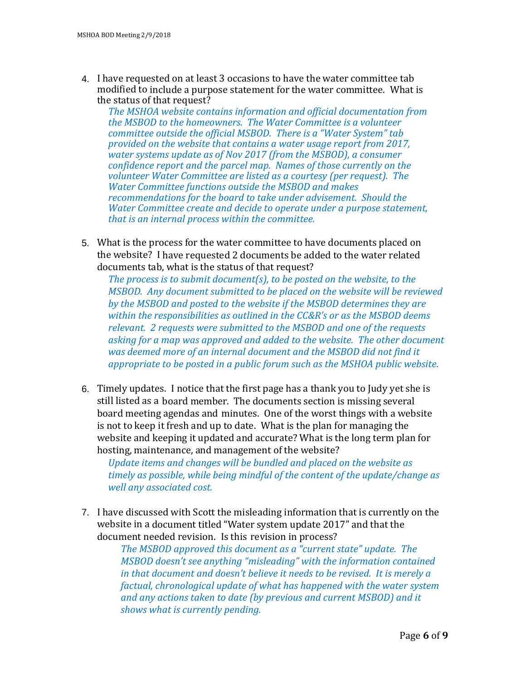4. I have requested on at least 3 occasions to have the water committee tab modified to include a purpose statement for the water committee. What is the status of that request?

*The MSHOA website contains information and official documentation from the MSBOD to the homeowners. The Water Committee is a volunteer committee outside the official MSBOD. There is a "Water System" tab provided on the website that contains a water usage report from 2017, water systems update as of Nov 2017 (from the MSBOD), a consumer confidence report and the parcel map. Names of those currently on the volunteer Water Committee are listed as a courtesy (per request). The Water Committee functions outside the MSBOD and makes recommendations for the board to take under advisement. Should the Water Committee create and decide to operate under a purpose statement, that is an internal process within the committee.* 

5. What is the process for the water committee to have documents placed on the website? I have requested 2 documents be added to the water related documents tab, what is the status of that request?

*The process is to submit document(s), to be posted on the website, to the MSBOD. Any document submitted to be placed on the website will be reviewed by the MSBOD and posted to the website if the MSBOD determines they are within the responsibilities as outlined in the CC&R's or as the MSBOD deems relevant. 2 requests were submitted to the MSBOD and one of the requests asking for a map was approved and added to the website. The other document was deemed more of an internal document and the MSBOD did not find it appropriate to be posted in a public forum such as the MSHOA public website.* 

6. Timely updates. I notice that the first page has a thank you to Judy yet she is still listed as a board member. The documents section is missing several board meeting agendas and minutes. One of the worst things with a website is not to keep it fresh and up to date. What is the plan for managing the website and keeping it updated and accurate? What is the long term plan for hosting, maintenance, and management of the website?

*Update items and changes will be bundled and placed on the website as timely as possible, while being mindful of the content of the update/change as well any associated cost.*

7. I have discussed with Scott the misleading information that is currently on the website in a document titled "Water system update 2017" and that the document needed revision. Is this revision in process?

*The MSBOD approved this document as a "current state" update. The MSBOD doesn't see anything "misleading" with the information contained in that document and doesn't believe it needs to be revised. It is merely a factual, chronological update of what has happened with the water system and any actions taken to date (by previous and current MSBOD) and it shows what is currently pending.*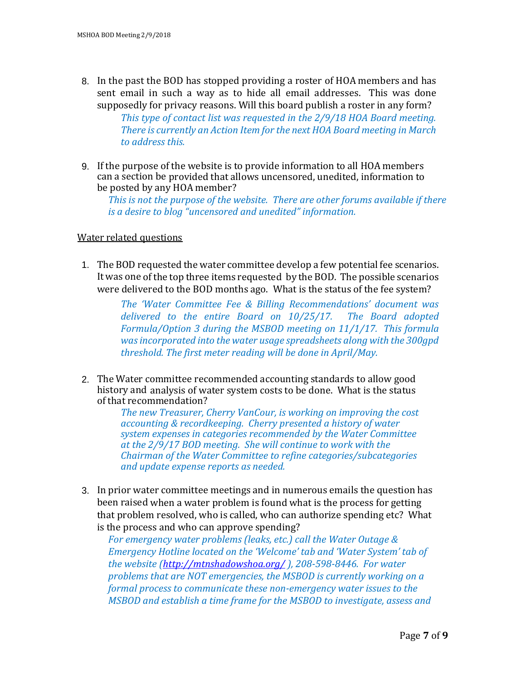- 8. In the past the BOD has stopped providing a roster of HOA members and has sent email in such a way as to hide all email addresses. This was done supposedly for privacy reasons. Will this board publish a roster in any form? *This type of contact list was requested in the 2/9/18 HOA Board meeting. There is currently an Action Item for the next HOA Board meeting in March to address this.*
- 9. If the purpose of the website is to provide information to all HOA members can a section be provided that allows uncensored, unedited, information to be posted by any HOA member?

*This is not the purpose of the website. There are other forums available if there is a desire to blog "uncensored and unedited" information.*

### Water related questions

1. The BOD requested the water committee develop a few potential fee scenarios. It was one of the top three items requested by the BOD. The possible scenarios were delivered to the BOD months ago. What is the status of the fee system?

> *The 'Water Committee Fee & Billing Recommendations' document was delivered to the entire Board on 10/25/17. The Board adopted Formula/Option 3 during the MSBOD meeting on 11/1/17. This formula wasincorporated into the water usage spreadsheets along with the 300gpd threshold. The first meter reading will be done in April/May.*

2. The Water committee recommended accounting standards to allow good history and analysis of water system costs to be done. What is the status of that recommendation?

*The new Treasurer, Cherry VanCour, is working on improving the cost accounting & recordkeeping. Cherry presented a history of water system expenses in categories recommended by the Water Committee at the 2/9/17 BOD meeting. She will continue to work with the Chairman of the Water Committee to refine categories/subcategories and update expense reports as needed.*

3. In prior water committee meetings and in numerous emails the question has been raised when a water problem is found what is the process for getting that problem resolved, who is called, who can authorize spending etc? What is the process and who can approve spending?

*For emergency water problems (leaks, etc.) call the Water Outage & Emergency Hotline located on the 'Welcome' tab and 'Water System' tab of the website [\(http://mtnshadowshoa.org/](http://mtnshadowshoa.org/) ), 208-598-8446. For water problems that are NOT emergencies, the MSBOD is currently working on a formal process to communicate these non-emergency water issues to the MSBOD and establish a time frame for the MSBOD to investigate, assess and*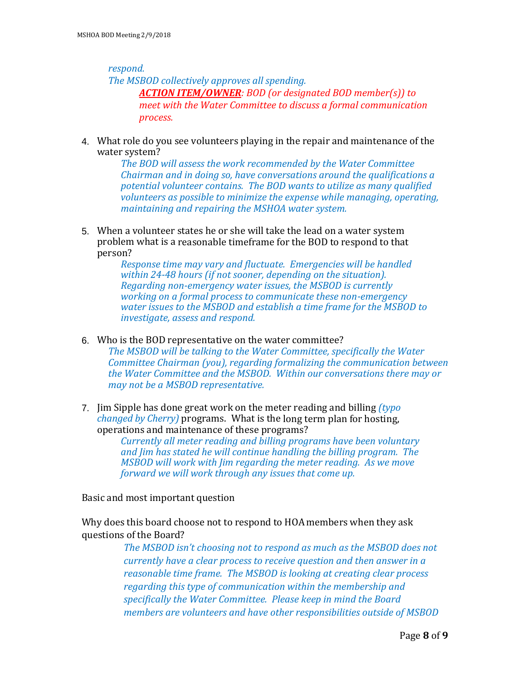*respond.* 

*The MSBOD collectively approves all spending.*

*ACTION ITEM/OWNER: BOD (or designated BOD member(s)) to meet with the Water Committee to discuss a formal communication process.*

4. What role do you see volunteers playing in the repair and maintenance of the water system?

> *The BOD will assess the work recommended by the Water Committee Chairman and in doing so, have conversations around the qualifications a potential volunteer contains. The BOD wants to utilize as many qualified volunteers as possible to minimize the expense while managing, operating, maintaining and repairing the MSHOA water system.*

5. When a volunteer states he or she will take the lead on a water system problem what is a reasonable timeframe for the BOD to respond to that person?

> *Response time may vary and fluctuate. Emergencies will be handled within 24-48 hours (if not sooner, depending on the situation). Regarding non-emergency water issues, the MSBOD is currently working on a formal process to communicate these non-emergency water issues to the MSBOD and establish a time frame for the MSBOD to investigate, assess and respond.*

- 6. Who is the BOD representative on the water committee? *The MSBOD will be talking to the Water Committee, specifically the Water Committee Chairman (you), regarding formalizing the communication between the Water Committee and the MSBOD. Within our conversations there may or may not be a MSBOD representative.*
- 7. Jim Sipple has done great work on the meter reading and billing *(typo changed by Cherry)* programs. What is the long term plan for hosting, operations and maintenance of these programs?

*Currently all meter reading and billing programs have been voluntary and Jim has stated he will continue handling the billing program. The MSBOD will work with Jim regarding the meter reading. As we move forward we will work through any issues that come up.* 

Basic and most important question

Why does this board choose not to respond to HOA members when they ask questions of the Board?

> *The MSBOD isn't choosing not to respond as much as the MSBOD does not currently have a clear process to receive question and then answer in a reasonable time frame. The MSBOD is looking at creating clear process regarding this type of communication within the membership and specifically the Water Committee. Please keep in mind the Board members are volunteers and have other responsibilities outside of MSBOD*